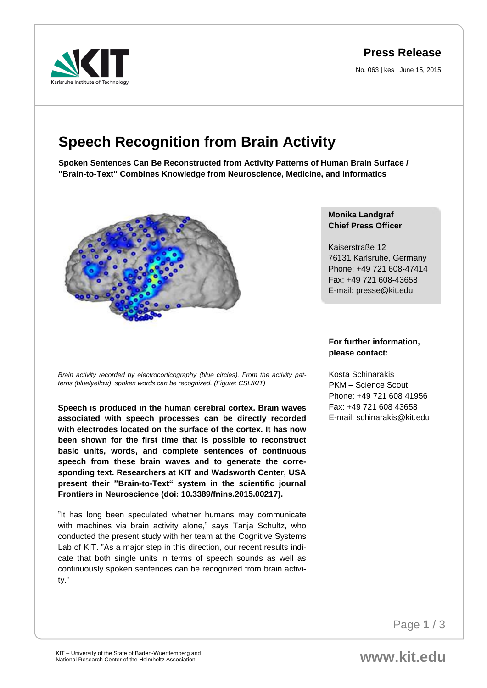# **Press Release**

No. 063 | kes | June 15, 2015

# **Speech Recognition from Brain Activity**

**Spoken Sentences Can Be Reconstructed from Activity Patterns of Human Brain Surface / "Brain-to-Text" Combines Knowledge from Neuroscience, Medicine, and Informatics**



*Brain activity recorded by electrocorticography (blue circles). From the activity patterns (blue/yellow), spoken words can be recognized. (Figure: CSL/KIT)* 

**Speech is produced in the human cerebral cortex. Brain waves associated with speech processes can be directly recorded with electrodes located on the surface of the cortex. It has now been shown for the first time that is possible to reconstruct basic units, words, and complete sentences of continuous speech from these brain waves and to generate the corresponding text. Researchers at KIT and Wadsworth Center, USA present their "Brain-to-Text" system in the scientific journal Frontiers in Neuroscience (doi: 10.3389/fnins.2015.00217).**

"It has long been speculated whether humans may communicate with machines via brain activity alone," says Tanja Schultz, who conducted the present study with her team at the Cognitive Systems Lab of KIT. "As a major step in this direction, our recent results indicate that both single units in terms of speech sounds as well as continuously spoken sentences can be recognized from brain activity."

#### **Monika Landgraf Chief Press Officer**

Kaiserstraße 12 76131 Karlsruhe, Germany Phone: +49 721 608-47414 Fax: +49 721 608-43658 E-mail: presse@kit.edu

## **For further information, please contact:**

Kosta Schinarakis PKM – Science Scout Phone: +49 721 608 41956 Fax: +49 721 608 43658 E-mail: schinarakis@kit.edu

Page **1** / 3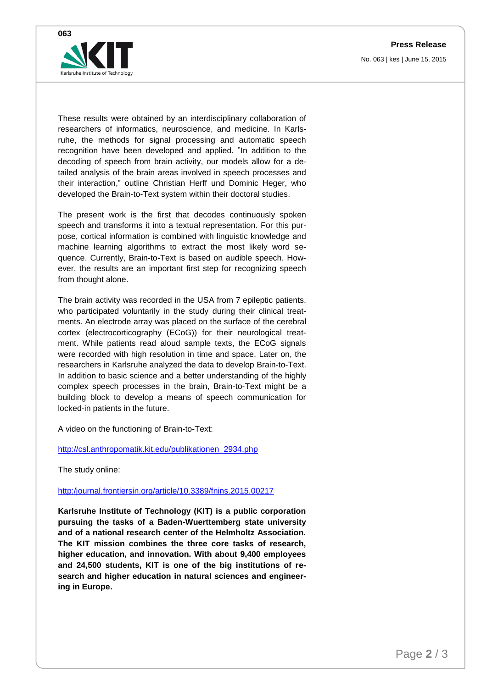**Press Release**

No. 063 | kes | June 15, 2015



These results were obtained by an interdisciplinary collaboration of researchers of informatics, neuroscience, and medicine. In Karlsruhe, the methods for signal processing and automatic speech recognition have been developed and applied. "In addition to the decoding of speech from brain activity, our models allow for a detailed analysis of the brain areas involved in speech processes and their interaction," outline Christian Herff und Dominic Heger, who developed the Brain-to-Text system within their doctoral studies.

The present work is the first that decodes continuously spoken speech and transforms it into a textual representation. For this purpose, cortical information is combined with linguistic knowledge and machine learning algorithms to extract the most likely word sequence. Currently, Brain-to-Text is based on audible speech. However, the results are an important first step for recognizing speech from thought alone.

The brain activity was recorded in the USA from 7 epileptic patients, who participated voluntarily in the study during their clinical treatments. An electrode array was placed on the surface of the cerebral cortex (electrocorticography (ECoG)) for their neurological treatment. While patients read aloud sample texts, the ECoG signals were recorded with high resolution in time and space. Later on, the researchers in Karlsruhe analyzed the data to develop Brain-to-Text. In addition to basic science and a better understanding of the highly complex speech processes in the brain, Brain-to-Text might be a building block to develop a means of speech communication for locked-in patients in the future.

A video on the functioning of Brain-to-Text:

[http://csl.anthropomatik.kit.edu/publikationen\\_2934.php](http://csl.anthropomatik.kit.edu/publikationen_2934.php)

The study online:

## [http:/journal.frontiersin.org/article/10.3389/fnins.2015.00217](http://journal.frontiersin.org/article/10.3389/fnins.2015.00217)

**Karlsruhe Institute of Technology (KIT) is a public corporation pursuing the tasks of a Baden-Wuerttemberg state university and of a national research center of the Helmholtz Association. The KIT mission combines the three core tasks of research, higher education, and innovation. With about 9,400 employees and 24,500 students, KIT is one of the big institutions of research and higher education in natural sciences and engineering in Europe.**